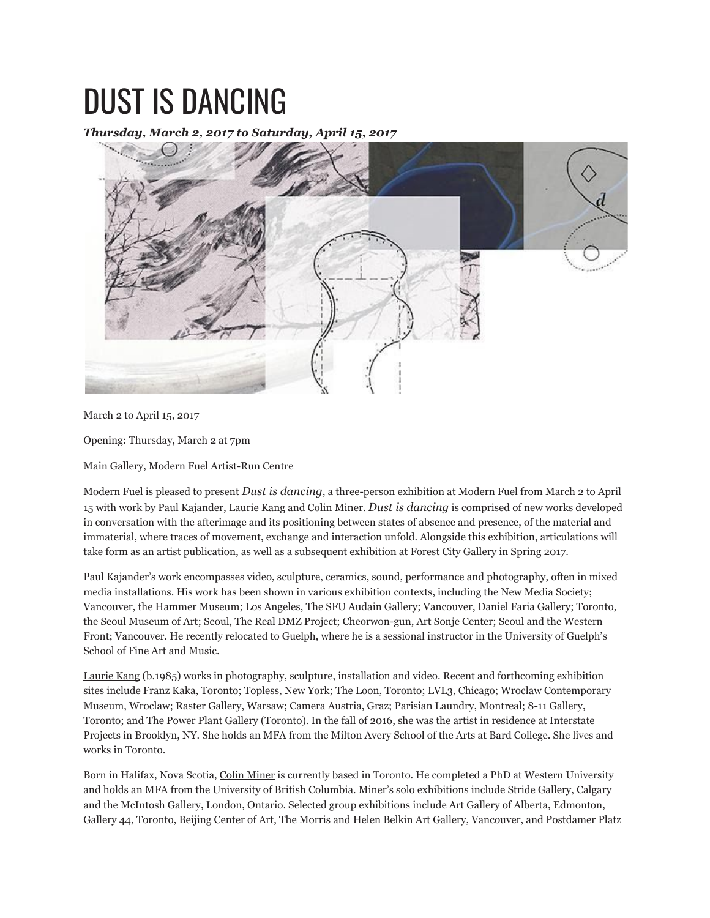## DUST IS DANCING

*Thursday, March 2, 2017 to Saturday, April 15, 2017*



March 2 to April 15, 2017

Opening: Thursday, March 2 at 7pm

Main Gallery, Modern Fuel Artist-Run Centre

Modern Fuel is pleased to present *Dust is dancing*, a three-person exhibition at Modern Fuel from March 2 to April 15 with work by Paul Kajander, Laurie Kang and Colin Miner. *Dust is dancing* is comprised of new works developed in conversation with the afterimage and its positioning between states of absence and presence, of the material and immaterial, where traces of movement, exchange and interaction unfold. Alongside this exhibition, articulations will take form as an artist publication, as well as a subsequent exhibition at Forest City Gallery in Spring 2017.

Paul Kajander's work encompasses video, sculpture, ceramics, sound, performance and photography, often in mixed media installations. His work has been shown in various exhibition contexts, including the New Media Society; Vancouver, the Hammer Museum; Los Angeles, The SFU Audain Gallery; Vancouver, Daniel Faria Gallery; Toronto, the Seoul Museum of Art; Seoul, The Real DMZ Project; Cheorwon-gun, Art Sonje Center; Seoul and the Western Front; Vancouver. He recently relocated to Guelph, where he is a sessional instructor in the University of Guelph's School of Fine Art and Music.

Laurie Kang (b.1985) works in photography, sculpture, installation and video. Recent and forthcoming exhibition sites include Franz Kaka, Toronto; Topless, New York; The Loon, Toronto; LVL3, Chicago; Wroclaw Contemporary Museum, Wroclaw; Raster Gallery, Warsaw; Camera Austria, Graz; Parisian Laundry, Montreal; 8-11 Gallery, Toronto; and The Power Plant Gallery (Toronto). In the fall of 2016, she was the artist in residence at Interstate Projects in Brooklyn, NY. She holds an MFA from the Milton Avery School of the Arts at Bard College. She lives and works in Toronto.

Born in Halifax, Nova Scotia, Colin Miner is currently based in Toronto. He completed a PhD at Western University and holds an MFA from the University of British Columbia. Miner's solo exhibitions include Stride Gallery, Calgary and the McIntosh Gallery, London, Ontario. Selected group exhibitions include Art Gallery of Alberta, Edmonton, Gallery 44, Toronto, Beijing Center of Art, The Morris and Helen Belkin Art Gallery, Vancouver, and Postdamer Platz